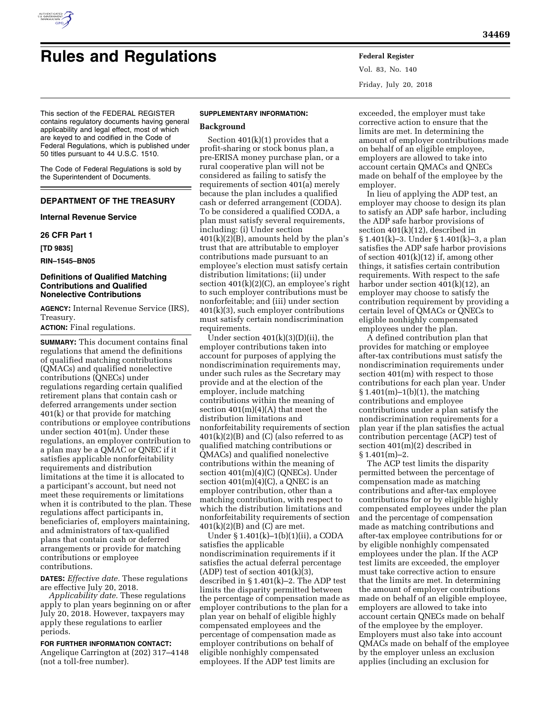

# **Rules and Regulations Federal Register**

Vol. 83, No. 140 Friday, July 20, 2018

This section of the FEDERAL REGISTER contains regulatory documents having general applicability and legal effect, most of which are keyed to and codified in the Code of Federal Regulations, which is published under 50 titles pursuant to 44 U.S.C. 1510.

The Code of Federal Regulations is sold by the Superintendent of Documents.

# **DEPARTMENT OF THE TREASURY**

### **Internal Revenue Service**

#### **26 CFR Part 1**

**[TD 9835]** 

**RIN–1545–BN05** 

# **Definitions of Qualified Matching Contributions and Qualified Nonelective Contributions**

**AGENCY:** Internal Revenue Service (IRS), Treasury.

**ACTION:** Final regulations.

**SUMMARY:** This document contains final regulations that amend the definitions of qualified matching contributions (QMACs) and qualified nonelective contributions (QNECs) under regulations regarding certain qualified retirement plans that contain cash or deferred arrangements under section 401(k) or that provide for matching contributions or employee contributions under section 401(m). Under these regulations, an employer contribution to a plan may be a QMAC or QNEC if it satisfies applicable nonforfeitability requirements and distribution limitations at the time it is allocated to a participant's account, but need not meet these requirements or limitations when it is contributed to the plan. These regulations affect participants in, beneficiaries of, employers maintaining, and administrators of tax-qualified plans that contain cash or deferred arrangements or provide for matching contributions or employee contributions.

**DATES:** *Effective date.* These regulations are effective July 20, 2018.

*Applicability date.* These regulations apply to plan years beginning on or after July 20, 2018. However, taxpayers may apply these regulations to earlier periods.

**FOR FURTHER INFORMATION CONTACT:**  Angelique Carrington at (202) 317–4148 (not a toll-free number).

#### **SUPPLEMENTARY INFORMATION:**

#### **Background**

Section  $401(k)(1)$  provides that a profit-sharing or stock bonus plan, a pre-ERISA money purchase plan, or a rural cooperative plan will not be considered as failing to satisfy the requirements of section 401(a) merely because the plan includes a qualified cash or deferred arrangement (CODA). To be considered a qualified CODA, a plan must satisfy several requirements, including: (i) Under section  $401(k)(2)(B)$ , amounts held by the plan's trust that are attributable to employer contributions made pursuant to an employee's election must satisfy certain distribution limitations; (ii) under section 401(k)(2)(C), an employee's right to such employer contributions must be nonforfeitable; and (iii) under section 401(k)(3), such employer contributions must satisfy certain nondiscrimination requirements.

Under section  $401(k)(3)(D)(ii)$ , the employer contributions taken into account for purposes of applying the nondiscrimination requirements may, under such rules as the Secretary may provide and at the election of the employer, include matching contributions within the meaning of section  $401(m)(4)(A)$  that meet the distribution limitations and nonforfeitability requirements of section  $401(k)(2)(B)$  and (C) (also referred to as qualified matching contributions or QMACs) and qualified nonelective contributions within the meaning of section  $401(m)(4)(C)$  (QNECs). Under section  $401(m)(4)(C)$ , a QNEC is an employer contribution, other than a matching contribution, with respect to which the distribution limitations and nonforfeitability requirements of section  $401(k)(2)(B)$  and (C) are met.

Under § 1.401(k)–1(b)(1)(ii), a CODA satisfies the applicable nondiscrimination requirements if it satisfies the actual deferral percentage  $(ADP)$  test of section  $401(k)(3)$ , described in § 1.401(k)–2. The ADP test limits the disparity permitted between the percentage of compensation made as employer contributions to the plan for a plan year on behalf of eligible highly compensated employees and the percentage of compensation made as employer contributions on behalf of eligible nonhighly compensated employees. If the ADP test limits are

exceeded, the employer must take corrective action to ensure that the limits are met. In determining the amount of employer contributions made on behalf of an eligible employee, employers are allowed to take into account certain QMACs and QNECs made on behalf of the employee by the employer.

In lieu of applying the ADP test, an employer may choose to design its plan to satisfy an ADP safe harbor, including the ADP safe harbor provisions of section 401(k)(12), described in § 1.401(k)–3. Under § 1.401(k)–3, a plan satisfies the ADP safe harbor provisions of section 401(k)(12) if, among other things, it satisfies certain contribution requirements. With respect to the safe harbor under section 401(k)(12), an employer may choose to satisfy the contribution requirement by providing a certain level of QMACs or QNECs to eligible nonhighly compensated employees under the plan.

A defined contribution plan that provides for matching or employee after-tax contributions must satisfy the nondiscrimination requirements under section 401(m) with respect to those contributions for each plan year. Under § 1.401(m)–1(b)(1), the matching contributions and employee contributions under a plan satisfy the nondiscrimination requirements for a plan year if the plan satisfies the actual contribution percentage (ACP) test of section 401(m)(2) described in  $§ 1.401(m)-2.$ 

The ACP test limits the disparity permitted between the percentage of compensation made as matching contributions and after-tax employee contributions for or by eligible highly compensated employees under the plan and the percentage of compensation made as matching contributions and after-tax employee contributions for or by eligible nonhighly compensated employees under the plan. If the ACP test limits are exceeded, the employer must take corrective action to ensure that the limits are met. In determining the amount of employer contributions made on behalf of an eligible employee, employers are allowed to take into account certain QNECs made on behalf of the employee by the employer. Employers must also take into account QMACs made on behalf of the employee by the employer unless an exclusion applies (including an exclusion for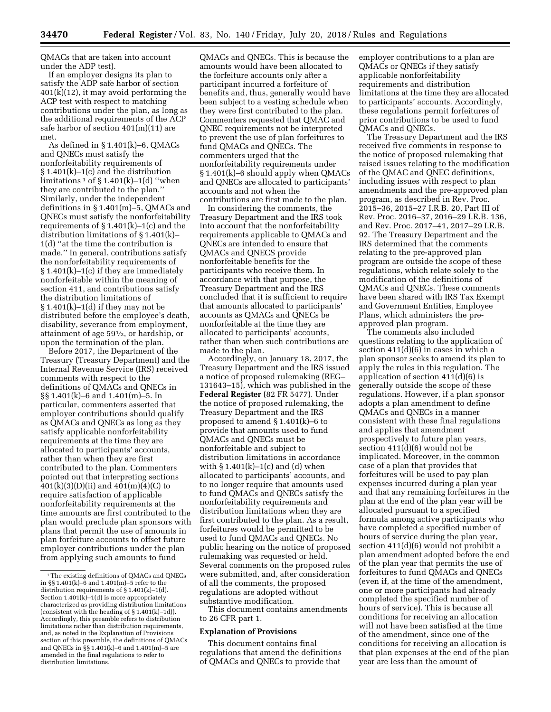QMACs that are taken into account under the ADP test).

If an employer designs its plan to satisfy the ADP safe harbor of section 401(k)(12), it may avoid performing the ACP test with respect to matching contributions under the plan, as long as the additional requirements of the ACP safe harbor of section 401(m)(11) are met.

As defined in § 1.401(k)–6, QMACs and QNECs must satisfy the nonforfeitability requirements of § 1.401(k)–1(c) and the distribution limitations<sup>1</sup> of  $\S 1.401(k)$ –1(d) "when they are contributed to the plan.'' Similarly, under the independent definitions in § 1.401(m)–5, QMACs and QNECs must satisfy the nonforfeitability requirements of  $\S 1.401(k)-1(c)$  and the distribution limitations of § 1.401(k)– 1(d) ''at the time the contribution is made.'' In general, contributions satisfy the nonforfeitability requirements of § 1.401(k)–1(c) if they are immediately nonforfeitable within the meaning of section 411, and contributions satisfy the distribution limitations of  $§ 1.401(k)-1(d)$  if they may not be distributed before the employee's death, disability, severance from employment, attainment of age 591⁄2, or hardship, or upon the termination of the plan.

Before 2017, the Department of the Treasury (Treasury Department) and the Internal Revenue Service (IRS) received comments with respect to the definitions of QMACs and QNECs in §§ 1.401(k)–6 and 1.401(m)–5. In particular, commenters asserted that employer contributions should qualify as QMACs and QNECs as long as they satisfy applicable nonforfeitability requirements at the time they are allocated to participants' accounts, rather than when they are first contributed to the plan. Commenters pointed out that interpreting sections 401(k)(3)(D)(ii) and 401(m)(4)(C) to require satisfaction of applicable nonforfeitability requirements at the time amounts are first contributed to the plan would preclude plan sponsors with plans that permit the use of amounts in plan forfeiture accounts to offset future employer contributions under the plan from applying such amounts to fund

QMACs and QNECs. This is because the amounts would have been allocated to the forfeiture accounts only after a participant incurred a forfeiture of benefits and, thus, generally would have been subject to a vesting schedule when they were first contributed to the plan. Commenters requested that QMAC and QNEC requirements not be interpreted to prevent the use of plan forfeitures to fund QMACs and QNECs. The commenters urged that the nonforfeitability requirements under § 1.401(k)–6 should apply when QMACs and QNECs are allocated to participants' accounts and not when the contributions are first made to the plan.

In considering the comments, the Treasury Department and the IRS took into account that the nonforfeitability requirements applicable to QMACs and QNECs are intended to ensure that QMACs and QNECS provide nonforfeitable benefits for the participants who receive them. In accordance with that purpose, the Treasury Department and the IRS concluded that it is sufficient to require that amounts allocated to participants' accounts as QMACs and QNECs be nonforfeitable at the time they are allocated to participants' accounts, rather than when such contributions are made to the plan.

Accordingly, on January 18, 2017, the Treasury Department and the IRS issued a notice of proposed rulemaking (REG– 131643–15), which was published in the **Federal Register** (82 FR 5477). Under the notice of proposed rulemaking, the Treasury Department and the IRS proposed to amend § 1.401(k)–6 to provide that amounts used to fund QMACs and QNECs must be nonforfeitable and subject to distribution limitations in accordance with  $\S 1.401(k)-1(c)$  and (d) when allocated to participants' accounts, and to no longer require that amounts used to fund QMACs and QNECs satisfy the nonforfeitability requirements and distribution limitations when they are first contributed to the plan. As a result, forfeitures would be permitted to be used to fund QMACs and QNECs. No public hearing on the notice of proposed rulemaking was requested or held. Several comments on the proposed rules were submitted, and, after consideration of all the comments, the proposed regulations are adopted without substantive modification.

This document contains amendments to 26 CFR part 1.

# **Explanation of Provisions**

This document contains final regulations that amend the definitions of QMACs and QNECs to provide that

employer contributions to a plan are QMACs or QNECs if they satisfy applicable nonforfeitability requirements and distribution limitations at the time they are allocated to participants' accounts. Accordingly, these regulations permit forfeitures of prior contributions to be used to fund QMACs and QNECs.

The Treasury Department and the IRS received five comments in response to the notice of proposed rulemaking that raised issues relating to the modification of the QMAC and QNEC definitions, including issues with respect to plan amendments and the pre-approved plan program, as described in Rev. Proc. 2015–36, 2015–27 I.R.B. 20, Part III of Rev. Proc. 2016–37, 2016–29 I.R.B. 136, and Rev. Proc. 2017–41, 2017–29 I.R.B. 92. The Treasury Department and the IRS determined that the comments relating to the pre-approved plan program are outside the scope of these regulations, which relate solely to the modification of the definitions of QMACs and QNECs. These comments have been shared with IRS Tax Exempt and Government Entities, Employee Plans, which administers the preapproved plan program.

The comments also included questions relating to the application of section 411(d)(6) in cases in which a plan sponsor seeks to amend its plan to apply the rules in this regulation. The application of section 411(d)(6) is generally outside the scope of these regulations. However, if a plan sponsor adopts a plan amendment to define QMACs and QNECs in a manner consistent with these final regulations and applies that amendment prospectively to future plan years, section 411(d)(6) would not be implicated. Moreover, in the common case of a plan that provides that forfeitures will be used to pay plan expenses incurred during a plan year and that any remaining forfeitures in the plan at the end of the plan year will be allocated pursuant to a specified formula among active participants who have completed a specified number of hours of service during the plan year, section 411(d)(6) would not prohibit a plan amendment adopted before the end of the plan year that permits the use of forfeitures to fund QMACs and QNECs (even if, at the time of the amendment, one or more participants had already completed the specified number of hours of service). This is because all conditions for receiving an allocation will not have been satisfied at the time of the amendment, since one of the conditions for receiving an allocation is that plan expenses at the end of the plan year are less than the amount of

<sup>&</sup>lt;sup>1</sup>The existing definitions of QMACs and QNECs in §§ 1.401(k)–6 and 1.401(m)–5 refer to the distribution requirements of § 1.401(k)–1(d). Section  $1.401(\vec{k})-1(\vec{d})$  is more appropriately characterized as providing distribution limitations (consistent with the heading of  $\S 1.401(k)-1d$ )). Accordingly, this preamble refers to distribution limitations rather than distribution requirements, and, as noted in the Explanation of Provisions section of this preamble, the definitions of QMACs and QNECs in §§ 1.401(k)–6 and 1.401(m)–5 are amended in the final regulations to refer to distribution limitations.